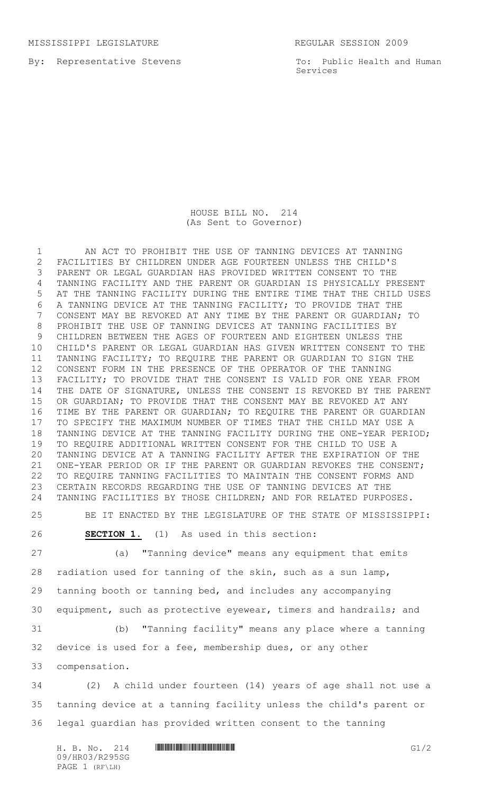By: Representative Stevens

To: Public Health and Human Services

## HOUSE BILL NO. 214 (As Sent to Governor)

 AN ACT TO PROHIBIT THE USE OF TANNING DEVICES AT TANNING FACILITIES BY CHILDREN UNDER AGE FOURTEEN UNLESS THE CHILD'S PARENT OR LEGAL GUARDIAN HAS PROVIDED WRITTEN CONSENT TO THE TANNING FACILITY AND THE PARENT OR GUARDIAN IS PHYSICALLY PRESENT AT THE TANNING FACILITY DURING THE ENTIRE TIME THAT THE CHILD USES A TANNING DEVICE AT THE TANNING FACILITY; TO PROVIDE THAT THE CONSENT MAY BE REVOKED AT ANY TIME BY THE PARENT OR GUARDIAN; TO PROHIBIT THE USE OF TANNING DEVICES AT TANNING FACILITIES BY CHILDREN BETWEEN THE AGES OF FOURTEEN AND EIGHTEEN UNLESS THE CHILD'S PARENT OR LEGAL GUARDIAN HAS GIVEN WRITTEN CONSENT TO THE TANNING FACILITY; TO REQUIRE THE PARENT OR GUARDIAN TO SIGN THE CONSENT FORM IN THE PRESENCE OF THE OPERATOR OF THE TANNING 13 FACILITY; TO PROVIDE THAT THE CONSENT IS VALID FOR ONE YEAR FROM THE DATE OF SIGNATURE, UNLESS THE CONSENT IS REVOKED BY THE PARENT OR GUARDIAN; TO PROVIDE THAT THE CONSENT MAY BE REVOKED AT ANY TIME BY THE PARENT OR GUARDIAN; TO REQUIRE THE PARENT OR GUARDIAN TO SPECIFY THE MAXIMUM NUMBER OF TIMES THAT THE CHILD MAY USE A TANNING DEVICE AT THE TANNING FACILITY DURING THE ONE-YEAR PERIOD; TO REQUIRE ADDITIONAL WRITTEN CONSENT FOR THE CHILD TO USE A TANNING DEVICE AT A TANNING FACILITY AFTER THE EXPIRATION OF THE ONE-YEAR PERIOD OR IF THE PARENT OR GUARDIAN REVOKES THE CONSENT; TO REQUIRE TANNING FACILITIES TO MAINTAIN THE CONSENT FORMS AND CERTAIN RECORDS REGARDING THE USE OF TANNING DEVICES AT THE TANNING FACILITIES BY THOSE CHILDREN; AND FOR RELATED PURPOSES.

BE IT ENACTED BY THE LEGISLATURE OF THE STATE OF MISSISSIPPI:

**SECTION 1.** (1) As used in this section:

 (a) "Tanning device" means any equipment that emits radiation used for tanning of the skin, such as a sun lamp, tanning booth or tanning bed, and includes any accompanying equipment, such as protective eyewear, timers and handrails; and

 (b) "Tanning facility" means any place where a tanning device is used for a fee, membership dues, or any other compensation.

 (2) A child under fourteen (14) years of age shall not use a tanning device at a tanning facility unless the child's parent or legal guardian has provided written consent to the tanning

 $H. B. NO. 214$  HROSE HROSE GI/2 09/HR03/R295SG PAGE 1 (RF\LH)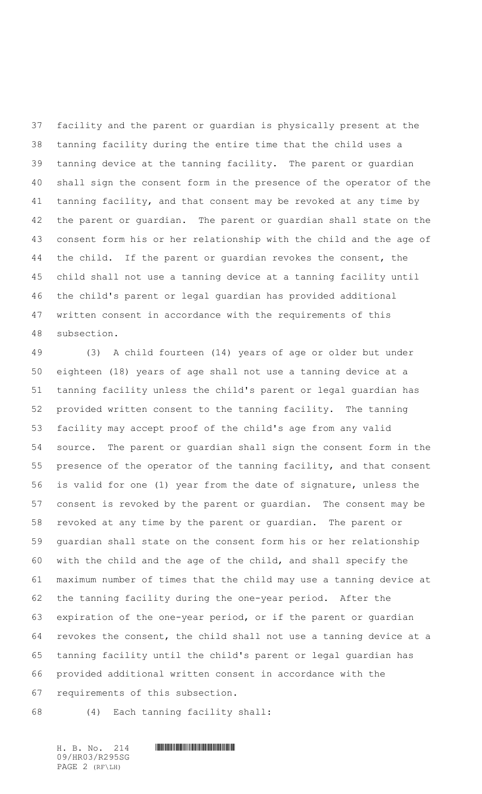facility and the parent or guardian is physically present at the tanning facility during the entire time that the child uses a tanning device at the tanning facility. The parent or guardian shall sign the consent form in the presence of the operator of the tanning facility, and that consent may be revoked at any time by the parent or guardian. The parent or guardian shall state on the consent form his or her relationship with the child and the age of the child. If the parent or guardian revokes the consent, the child shall not use a tanning device at a tanning facility until the child's parent or legal guardian has provided additional written consent in accordance with the requirements of this subsection.

 (3) A child fourteen (14) years of age or older but under eighteen (18) years of age shall not use a tanning device at a tanning facility unless the child's parent or legal guardian has provided written consent to the tanning facility. The tanning facility may accept proof of the child's age from any valid source. The parent or guardian shall sign the consent form in the presence of the operator of the tanning facility, and that consent is valid for one (1) year from the date of signature, unless the consent is revoked by the parent or guardian. The consent may be revoked at any time by the parent or guardian. The parent or guardian shall state on the consent form his or her relationship with the child and the age of the child, and shall specify the maximum number of times that the child may use a tanning device at the tanning facility during the one-year period. After the expiration of the one-year period, or if the parent or guardian revokes the consent, the child shall not use a tanning device at a tanning facility until the child's parent or legal guardian has provided additional written consent in accordance with the requirements of this subsection.

(4) Each tanning facility shall:

09/HR03/R295SG PAGE 2 (RF\LH)

H. B. No. 214 \*HR03/R295SG\*